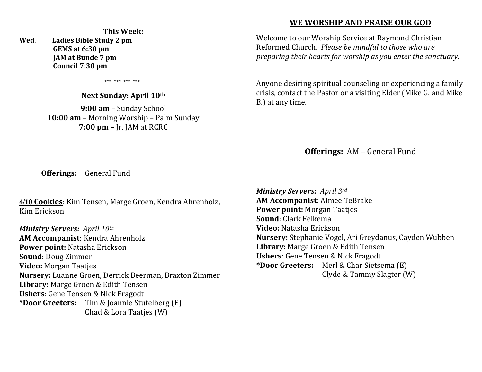#### **This Week:**

**Wed**. **Ladies Bible Study 2 pm GEMS at 6:30 pm JAM at Bunde 7 pm Council 7:30 pm** 

\*\*\* \*\*\* \*\*\* \*\*\*

#### **Next Sunday: April 10th**

**9:00 am** – Sunday School **10:00 am** – Morning Worship – Palm Sunday **7:00 pm** – Jr. JAM at RCRC

## **WE WORSHIP AND PRAISE OUR GOD**

Welcome to our Worship Service at Raymond Christian Reformed Church. *Please be mindful to those who are preparing their hearts for worship as you enter the sanctuary.*

Anyone desiring spiritual counseling or experiencing a family crisis, contact the Pastor or a visiting Elder (Mike G. and Mike B.) at any time.

**Offerings:** AM – General Fund

**Offerings:** General Fund

**4/10 Cookies**: Kim Tensen, Marge Groen, Kendra Ahrenholz, Kim Erickson

*Ministry Servers: April 10th*  **AM Accompanist**: Kendra Ahrenholz **Power point:** Natasha Erickson **Sound**: Doug Zimmer **Video:** Morgan Taatjes **Nursery:** Luanne Groen, Derrick Beerman, Braxton Zimmer **Library:** Marge Groen & Edith Tensen **Ushers**: Gene Tensen & Nick Fragodt **\*Door Greeters:** Tim & Joannie Stutelberg (E) Chad & Lora Taatjes (W)

*Ministry Servers: April 3rd*  **AM Accompanist**: Aimee TeBrake **Power point:** Morgan Taatjes **Sound**: Clark Feikema **Video:** Natasha Erickson **Nursery:** Stephanie Vogel, Ari Greydanus, Cayden Wubben **Library:** Marge Groen & Edith Tensen **Ushers**: Gene Tensen & Nick Fragodt **\*Door Greeters:** Merl & Char Sietsema (E) Clyde & Tammy Slagter (W)